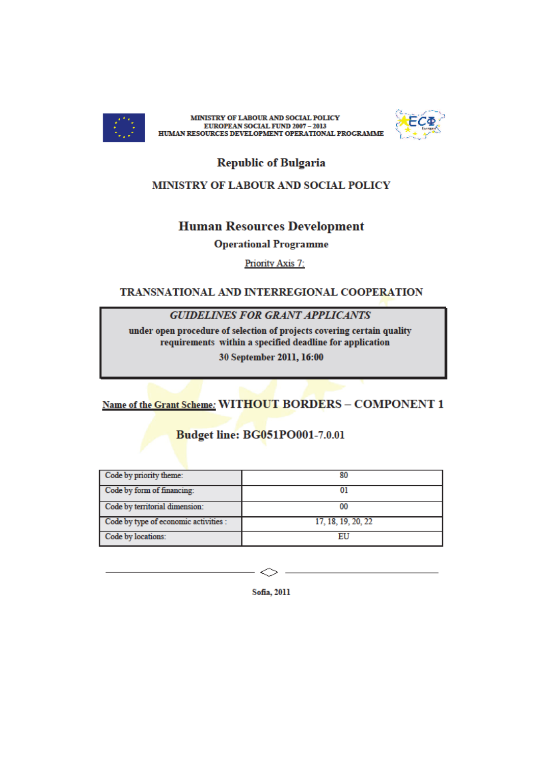

MINISTRY OF LABOUR AND SOCIAL POLICY EUROPEAN SOCIAL FUND 2007 - 2013<br>HUMAN RESOURCES DEVELOPMENT OPERATIONAL PROGRAMME



**Republic of Bulgaria** 

### MINISTRY OF LABOUR AND SOCIAL POLICY

## **Human Resources Development**

**Operational Programme** 

**Priority Axis 7:** 

### TRANSNATIONAL AND INTERREGIONAL COOPERATION

#### **GUIDELINES FOR GRANT APPLICANTS**

under open procedure of selection of projects covering certain quality requirements within a specified deadline for application

30 September 2011, 16:00

# Name of the Grant Scheme: WITHOUT BORDERS - COMPONENT 1

# **Budget line: BG051PO001-7.0.01**

| Code by priority theme:               | 80                 |
|---------------------------------------|--------------------|
| Code by form of financing:            |                    |
| Code by territorial dimension:        | 00                 |
| Code by type of economic activities : | 17, 18, 19, 20, 22 |
| Code by locations:                    |                    |

Sofia, 2011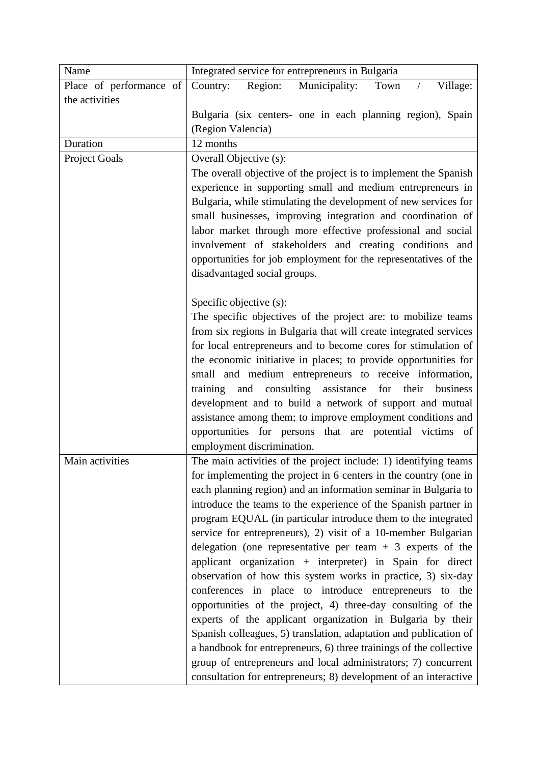| Name                    | Integrated service for entrepreneurs in Bulgaria                                                                       |
|-------------------------|------------------------------------------------------------------------------------------------------------------------|
| Place of performance of | Region:<br>Municipality:<br>Town<br>Village:<br>Country:                                                               |
| the activities          |                                                                                                                        |
|                         | Bulgaria (six centers- one in each planning region), Spain                                                             |
|                         | (Region Valencia)                                                                                                      |
| Duration                | 12 months                                                                                                              |
| Project Goals           | Overall Objective (s):                                                                                                 |
|                         | The overall objective of the project is to implement the Spanish                                                       |
|                         | experience in supporting small and medium entrepreneurs in                                                             |
|                         | Bulgaria, while stimulating the development of new services for                                                        |
|                         | small businesses, improving integration and coordination of                                                            |
|                         | labor market through more effective professional and social                                                            |
|                         | involvement of stakeholders and creating conditions and                                                                |
|                         | opportunities for job employment for the representatives of the                                                        |
|                         | disadvantaged social groups.                                                                                           |
|                         | Specific objective (s):                                                                                                |
|                         | The specific objectives of the project are: to mobilize teams                                                          |
|                         | from six regions in Bulgaria that will create integrated services                                                      |
|                         | for local entrepreneurs and to become cores for stimulation of                                                         |
|                         | the economic initiative in places; to provide opportunities for                                                        |
|                         | small and medium entrepreneurs to receive information,                                                                 |
|                         | consulting<br>training<br>assistance<br>for<br>their<br>and<br>business                                                |
|                         | development and to build a network of support and mutual                                                               |
|                         | assistance among them; to improve employment conditions and                                                            |
|                         | opportunities for persons that are potential victims of                                                                |
|                         | employment discrimination.                                                                                             |
| Main activities         | The main activities of the project include: 1) identifying teams                                                       |
|                         | for implementing the project in 6 centers in the country (one in                                                       |
|                         | each planning region) and an information seminar in Bulgaria to                                                        |
|                         | introduce the teams to the experience of the Spanish partner in                                                        |
|                         | program EQUAL (in particular introduce them to the integrated                                                          |
|                         | service for entrepreneurs), 2) visit of a 10-member Bulgarian                                                          |
|                         | delegation (one representative per team $+3$ experts of the                                                            |
|                         | applicant organization + interpreter) in Spain for direct                                                              |
|                         | observation of how this system works in practice, 3) six-day<br>conferences in place to introduce entrepreneurs to the |
|                         | opportunities of the project, 4) three-day consulting of the                                                           |
|                         | experts of the applicant organization in Bulgaria by their                                                             |
|                         | Spanish colleagues, 5) translation, adaptation and publication of                                                      |
|                         | a handbook for entrepreneurs, 6) three trainings of the collective                                                     |
|                         | group of entrepreneurs and local administrators; 7) concurrent                                                         |
|                         | consultation for entrepreneurs; 8) development of an interactive                                                       |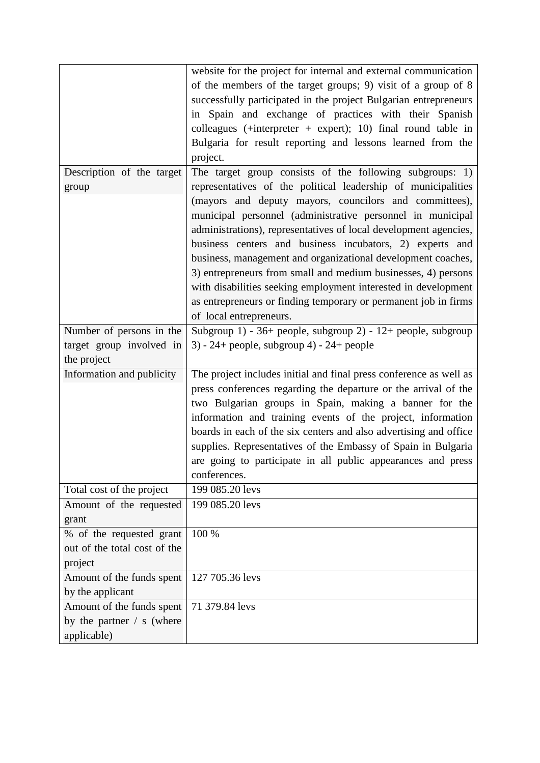|                              | website for the project for internal and external communication    |
|------------------------------|--------------------------------------------------------------------|
|                              | of the members of the target groups; 9) visit of a group of 8      |
|                              | successfully participated in the project Bulgarian entrepreneurs   |
|                              | in Spain and exchange of practices with their Spanish              |
|                              | colleagues (+interpreter + expert); 10) final round table in       |
|                              | Bulgaria for result reporting and lessons learned from the         |
|                              | project.                                                           |
| Description of the target    | The target group consists of the following subgroups: 1)           |
| group                        | representatives of the political leadership of municipalities      |
|                              | (mayors and deputy mayors, councilors and committees),             |
|                              |                                                                    |
|                              | municipal personnel (administrative personnel in municipal         |
|                              | administrations), representatives of local development agencies,   |
|                              | business centers and business incubators, 2) experts and           |
|                              | business, management and organizational development coaches,       |
|                              | 3) entrepreneurs from small and medium businesses, 4) persons      |
|                              | with disabilities seeking employment interested in development     |
|                              | as entrepreneurs or finding temporary or permanent job in firms    |
|                              | of local entrepreneurs.                                            |
| Number of persons in the     | Subgroup 1) - 36+ people, subgroup 2) - 12+ people, subgroup       |
| target group involved in     | $3) - 24 + people$ , subgroup 4) - 24+ people                      |
| the project                  |                                                                    |
| Information and publicity    | The project includes initial and final press conference as well as |
|                              | press conferences regarding the departure or the arrival of the    |
|                              | two Bulgarian groups in Spain, making a banner for the             |
|                              | information and training events of the project, information        |
|                              | boards in each of the six centers and also advertising and office  |
|                              | supplies. Representatives of the Embassy of Spain in Bulgaria      |
|                              | are going to participate in all public appearances and press       |
|                              | conferences.                                                       |
| Total cost of the project    | 199 085.20 levs                                                    |
| Amount of the requested      | 199 085.20 levs                                                    |
| grant                        |                                                                    |
| % of the requested grant     | 100 %                                                              |
| out of the total cost of the |                                                                    |
| project                      |                                                                    |
| Amount of the funds spent    | 127 705.36 levs                                                    |
| by the applicant             |                                                                    |
| Amount of the funds spent    | 71 379.84 levs                                                     |
| by the partner $/ s$ (where  |                                                                    |
| applicable)                  |                                                                    |
|                              |                                                                    |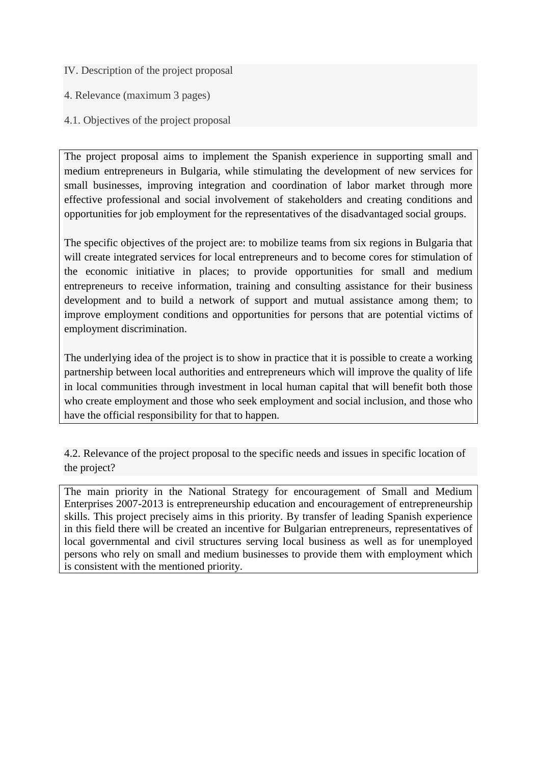- IV. Description of the project proposal
- 4. Relevance (maximum 3 pages)
- 4.1. Objectives of the project proposal

The project proposal aims to implement the Spanish experience in supporting small and medium entrepreneurs in Bulgaria, while stimulating the development of new services for small businesses, improving integration and coordination of labor market through more effective professional and social involvement of stakeholders and creating conditions and opportunities for job employment for the representatives of the disadvantaged social groups.

The specific objectives of the project are: to mobilize teams from six regions in Bulgaria that will create integrated services for local entrepreneurs and to become cores for stimulation of the economic initiative in places; to provide opportunities for small and medium entrepreneurs to receive information, training and consulting assistance for their business development and to build a network of support and mutual assistance among them; to improve employment conditions and opportunities for persons that are potential victims of employment discrimination.

The underlying idea of the project is to show in practice that it is possible to create a working partnership between local authorities and entrepreneurs which will improve the quality of life in local communities through investment in local human capital that will benefit both those who create employment and those who seek employment and social inclusion, and those who have the official responsibility for that to happen.

4.2. Relevance of the project proposal to the specific needs and issues in specific location of the project?

The main priority in the National Strategy for encouragement of Small and Medium Enterprises 2007-2013 is entrepreneurship education and encouragement of entrepreneurship skills. This project precisely aims in this priority. By transfer of leading Spanish experience in this field there will be created an incentive for Bulgarian entrepreneurs, representatives of local governmental and civil structures serving local business as well as for unemployed persons who rely on small and medium businesses to provide them with employment which is consistent with the mentioned priority.